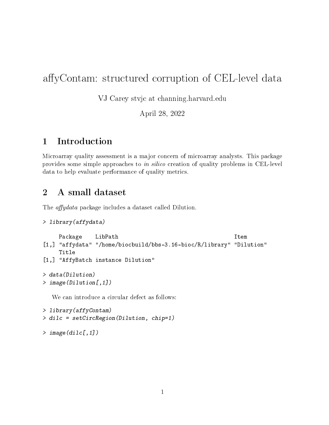## affyContam: structured corruption of CEL-level data

VJ Carey stvjc at channing.harvard.edu

April 28, 2022

## 1 Introduction

Microarray quality assessment is a major concern of microarray analysts. This package provides some simple approaches to in silico creation of quality problems in CEL-level data to help evaluate performance of quality metrics.

## 2 A small dataset

The *affydata* package includes a dataset called Dilution.

```
> library(affydata)
```

```
Package LibPath Item
[1,] "affydata" "/home/biocbuild/bbs-3.16-bioc/R/library" "Dilution"
    Title
[1,] "AffyBatch instance Dilution"
> data(Dilution)
> image(Dilution[,1])
  We can introduce a circular defect as follows:
> library(affyContam)
```

```
> dilc = setCircRegion(Dilution, chip=1)
```

```
> image(dilc[,1])
```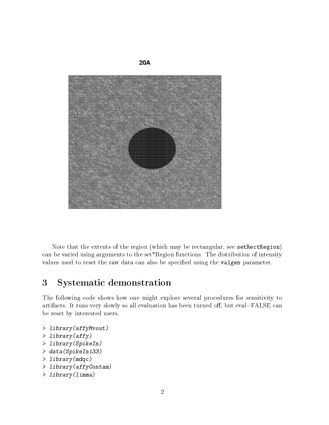

Note that the extents of the region (which may be rectangular, see setRectRegion) can be varied using arguments to the set\*Region functions. The distribution of intensity values used to reset the raw data can also be specified using the valgen parameter.

## 3 Systematic demonstration

The following code shows how one might explore several procedures for sensitivity to artifacts. It runs very slowly so all evaluation has been turned off, but eval=FALSE can be reset by interested users.

```
> library(affyMvout)
```

```
> library(affy)
```

```
> library(SpikeIn)
```
- > data(SpikeIn133)
- > library(mdqc)
- > library(affyContam)

```
> library(limma)
```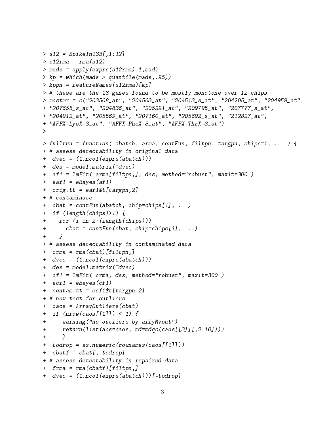```
> s12 = SpikeIn133[,1:12]
> s12rma = rma(s12)
> mads = apply(exprs(s12rma),1,mad)
> kp = which(mads > quantile(mads,.95))
> kppn = featureNames(s12rma)[kp]
> # these are the 18 genes found to be mostly monotone over 12 chips
> mostmr = c("203508_at", "204563_at", "204513_s_at", "204205_at", "204959_at",
+ "207655_s_at", "204836_at", "205291_at", "209795_at", "207777_s_at",
+ "204912_at", "205569_at", "207160_at", "205692_s_at", "212827_at",
+ "AFFX-LysX-3_at", "AFFX-PheX-3_at", "AFFX-ThrX-3_at")
>
> fullrun = function( abatch, arma, contFun, filtpn, targpn, chips=1, ... ) {
+ # assess detectability in original data
+ dvec = (1:ncol(exprs(abatch)))
+ des = model.matrix(~dvec)
+ af1 = lmFit( arma[filtpn,], des, method="robust", maxit=300 )
+ eaf1 = eBayes (af1)
+ orig.tt = eaf1$t[targpn,2]
+ # contaminate
+ cbat = contFun(abatch, chip=chips[1], ...)
+ if (length(chips)>1) {
+ for (i in 2:(length(chips)))
+ cbat = contFun(cbat, chip=chips[i], ...)
+ }
+ # assess detectability in contaminated data
+ crma = rma(cbat)[filtpn,]
+ dvec = (1:ncol(exprs(abatch)))
+ des = model.matrix(~dvec)
+ cf1 = lmFit( crma, des, method="robust", maxit=300 )
+ ecf1 = eBayes(cf1)+ \text{contam.tt} = \text{ecf1$st[target]}+ # now test for outliers
+ caos = ArrayOutliers(cbat)
+ if (nrow(caos [[1]]) < 1) {
+ warning("no outliers by affyMvout")
+ return(list(aos=caos, md=mdqc(caos[[3]][,2:10])))
+ }
+ todrop = as.numeric(rownames(caos[[1]]))
+ cbatf = cbat[,-todrop]
+ # assess detectability in repaired data
+ frma = rma(cbatf)[filtpn,]
+ dvec = (1:ncol(exprs(abatch)))[-todrop]
```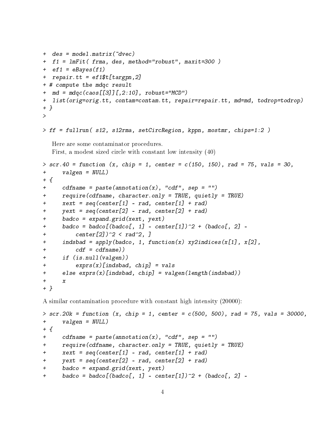```
+ des = model.matrix(~dvec)
+ f1 = lmFit( frma, des, method="robust", maxit=300 )
+ ef1 = eBayes (f1)
+ repair.tt = ef1$t[targpn,2]
+ # compute the mdqc result
+ md = mdqc(caos[[3]][,2:10], robust="MCD")
+ list(orig=orig.tt, contam=contam.tt, repair=repair.tt, md=md, todrop=todrop)
+ }
>
> ff = fullrun( s12, s12rma, setCircRegion, kppn, mostmr, chips=1:2 )
  Here are some contaminator procedures.
  First, a modest sized circle with constant low intensity (40)
> scr.40 = function (x, chip = 1, center = c(150, 150), rad = 75, vals = 30,
+ valgen = NULL)
+ {
+ cdfname = paste(annotation(x), "cdf", sep = "")
+ require(cdfname, character.only = TRUE, quietly = TRUE)
+ xext = seq(center[1] - rad, center[1] + rad)+ yext = seq(center[2] - rad, center[2] + rad)+ badco = expand.grid(xext, yext)
+ badco = badco[(badco[, 1] - center[1])^2 + (badco[, 2] -
+ center[2])^2 < rad^2, ]
+ indsbad = apply(badco, 1, function(x) xy2indices(x[1], x[2],
+ cdf = cdfname))
+ if (is.null(valgen))
+ exprs(x)[indsbad, chip] = vals
+ else exprs(x)[indsbad, chip] = valgen(length(indsbad))
+ x
+ }
```
A similar contamination procedure with constant high intensity (20000):

```
> scr.20k = function (x, chip = 1, center = c(500, 500), rad = 75, vals = 30000,
+ valgen = NULL)
+ ++ cdfname = paste(annotation(x), "cdf", sep = "")
+ require(cdfname, character.only = TRUE, quietly = TRUE)
+ xext = seq(center[1] - rad, center[1] + rad)+ yext = seq(center[2] - rad, center[2] + rad)+ badco = expand.grid(xext, yext)
+ badco = badco[(badco[, 1] - center[1])^2 + (badco[, 2] -
```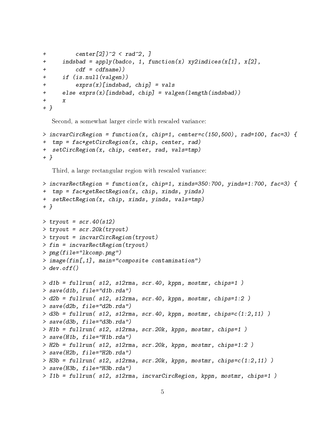```
+ center[2])^2 < rad^2, ]
+ indsbad = apply(badco, 1, function(x) xy2indices(x[1], x[2],
+ cdf = cdfname)+ if (is.null(valgen))
+ exprs(x)[indsbad, chip] = vals
+ else exprs(x)[indsbad, chip] = valgen(length(indsbad))
+ x+ }
```
Second, a somewhat larger circle with rescaled variance:

```
> incvarCircRegion = function(x, chip=1, center=c(150,500), rad=100, fac=3) {
+ tmp = fac*getCircRegion(x, chip, center, rad)
+ setCircRegion(x, chip, center, rad, vals=tmp)
+ }
```
Third, a large rectangular region with rescaled variance:

```
> incvarRectRegion = function(x, chip=1, xinds=350:700, yinds=1:700, fac=3) {
+ tmp = fac*getRectRegion(x, chip, xinds, yinds)
+ setRectRegion(x, chip, xinds, yinds, vals=tmp)
+ }
> tryout = scr.40(s12)
> tryout = scr.20k(tryout)
> tryout = incvarCircRegion(tryout)
> fin = incvarRectRegion(tryout)
> png(file="lkcomp.png")
> image(fin[,1], main="composite contamination")
> dev. of f()> d1b = fullrun( s12, s12rma, scr.40, kppn, mostmr, chips=1 )
> save(d1b, file="d1b.rda")
> d2b = fullrun( s12, s12rma, scr.40, kppn, mostmr, chips=1:2 )
> save(d2b, file="d2b.rda")
> d3b = fullrun( s12, s12rma, scr.40, kppn, mostmr, chips=c(1:2,11) )> save(d3b, file="d3b.rda")
> H1b = fullrun( s12, s12rma, scr.20k, kppn, mostmr, chips=1 )
> save(H1b, file="H1b.rda")
> H2b = fullrun( s12, s12rma, scr.20k, kppn, mostmr, chips=1:2 )
> save(H2b, file="H2b.rda")
> H3b = fullrun( s12, s12rma, scr.20k, kppn, mostmr, chips=c(1:2,11))
> save(H3b, file="H3b.rda")
> I1b = fullrun( s12, s12rma, incvarCircRegion, kppn, mostmr, chips=1 )
```